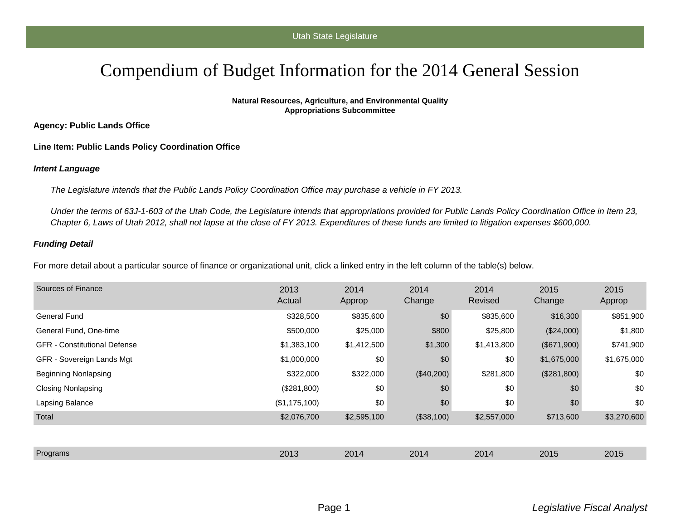## Compendium of Budget Information for the 2014 General Session

**Natural Resources, Agriculture, and Environmental Quality Appropriations Subcommittee**

**Agency: Public Lands Office**

**Line Item: Public Lands Policy Coordination Office**

## **Intent Language**

The Legislature intends that the Public Lands Policy Coordination Office may purchase a vehicle in FY 2013.

Under the terms of 63J-1-603 of the Utah Code, the Legislature intends that appropriations provided for Public Lands Policy Coordination Office in Item 23, Chapter 6, Laws of Utah 2012, shall not lapse at the close of FY 2013. Expenditures of these funds are limited to litigation expenses \$600,000.

## **Funding Detail**

For more detail about a particular source of finance or organizational unit, click a linked entry in the left column of the table(s) below.

| Sources of Finance                  | 2013<br>Actual | 2014<br>Approp | 2014<br>Change | 2014<br>Revised | 2015<br>Change | 2015<br>Approp |
|-------------------------------------|----------------|----------------|----------------|-----------------|----------------|----------------|
| <b>General Fund</b>                 | \$328,500      | \$835,600      | \$0            | \$835,600       | \$16,300       | \$851,900      |
| General Fund, One-time              | \$500,000      | \$25,000       | \$800          | \$25,800        | (\$24,000)     | \$1,800        |
| <b>GFR</b> - Constitutional Defense | \$1,383,100    | \$1,412,500    | \$1,300        | \$1,413,800     | (\$671,900)    | \$741,900      |
| GFR - Sovereign Lands Mgt           | \$1,000,000    | \$0            | \$0            | \$0             | \$1,675,000    | \$1,675,000    |
| Beginning Nonlapsing                | \$322,000      | \$322,000      | $(\$40,200)$   | \$281,800       | (\$281,800)    | \$0            |
| <b>Closing Nonlapsing</b>           | (\$281,800)    | \$0            | \$0            | \$0             | \$0            | \$0            |
| Lapsing Balance                     | (\$1,175,100)  | \$0            | \$0            | \$0             | \$0            | \$0            |
| Total                               | \$2,076,700    | \$2,595,100    | (\$38,100)     | \$2,557,000     | \$713,600      | \$3,270,600    |
|                                     |                |                |                |                 |                |                |
| Programs                            | 2013           | 2014           | 2014           | 2014            | 2015           | 2015           |